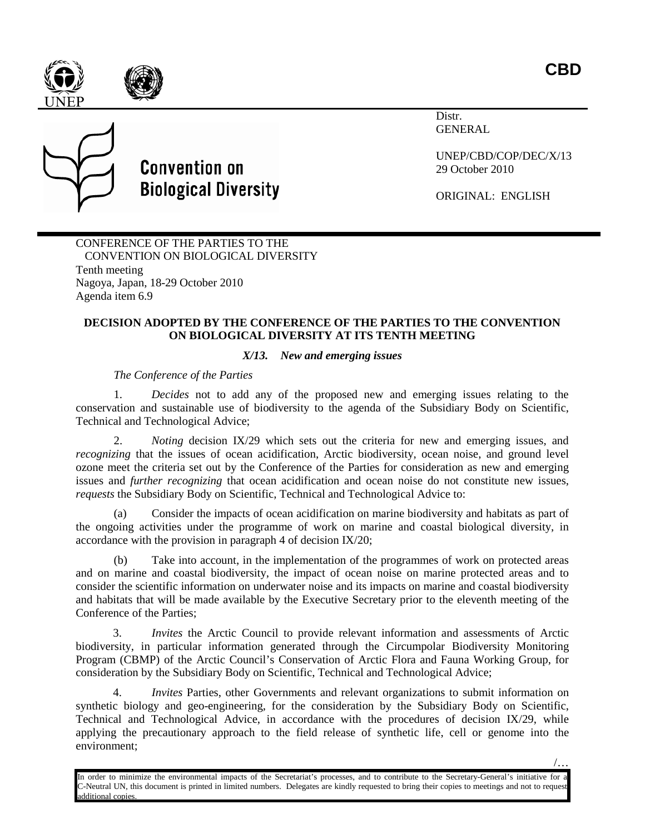/…





## **Convention on Biological Diversity**

Distr. GENERAL

UNEP/CBD/COP/DEC/X/13 29 October 2010

ORIGINAL: ENGLISH

CONFERENCE OF THE PARTIES TO THE CONVENTION ON BIOLOGICAL DIVERSITY Tenth meeting Nagoya, Japan, 18-29 October 2010 Agenda item 6.9

## **DECISION ADOPTED BY THE CONFERENCE OF THE PARTIES TO THE CONVENTION ON BIOLOGICAL DIVERSITY AT ITS TENTH MEETING**

## *X/13. New and emerging issues*

*The Conference of the Parties*

1. *Decides* not to add any of the proposed new and emerging issues relating to the conservation and sustainable use of biodiversity to the agenda of the Subsidiary Body on Scientific, Technical and Technological Advice;

2. *Noting* decision IX/29 which sets out the criteria for new and emerging issues, and *recognizing* that the issues of ocean acidification, Arctic biodiversity, ocean noise, and ground level ozone meet the criteria set out by the Conference of the Parties for consideration as new and emerging issues and *further recognizing* that ocean acidification and ocean noise do not constitute new issues, *requests* the Subsidiary Body on Scientific, Technical and Technological Advice to:

(a) Consider the impacts of ocean acidification on marine biodiversity and habitats as part of the ongoing activities under the programme of work on marine and coastal biological diversity, in accordance with the provision in paragraph 4 of decision IX/20;

(b) Take into account, in the implementation of the programmes of work on protected areas and on marine and coastal biodiversity, the impact of ocean noise on marine protected areas and to consider the scientific information on underwater noise and its impacts on marine and coastal biodiversity and habitats that will be made available by the Executive Secretary prior to the eleventh meeting of the Conference of the Parties;

3. *Invites* the Arctic Council to provide relevant information and assessments of Arctic biodiversity, in particular information generated through the Circumpolar Biodiversity Monitoring Program (CBMP) of the Arctic Council's Conservation of Arctic Flora and Fauna Working Group, for consideration by the Subsidiary Body on Scientific, Technical and Technological Advice;

4. *Invites* Parties, other Governments and relevant organizations to submit information on synthetic biology and geo-engineering, for the consideration by the Subsidiary Body on Scientific, Technical and Technological Advice, in accordance with the procedures of decision IX/29, while applying the precautionary approach to the field release of synthetic life, cell or genome into the environment;

In order to minimize the environmental impacts of the Secretariat's processes, and to contribute to the Secretary-General's initiative for a C-Neutral UN, this document is printed in limited numbers. Delegates are kindly requested to bring their copies to meetings and not to request additional copies.